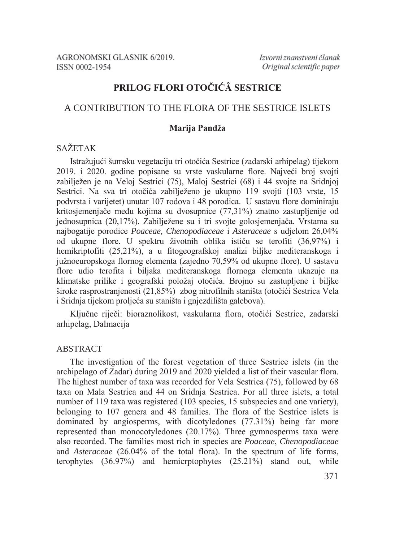# PRILOG FLORI OTOČIĆÂ SESTRICE

# A CONTRIBUTION TO THE FLORA OF THE SESTRICE ISLETS

### Marija Pandža

# **SAŽETAK**

Istražujući šumsku vegetaciju tri otočića Sestrice (zadarski arhipelag) tijekom 2019. i 2020. godine popisane su vrste vaskularne flore. Najveći broj svojti zabilježen je na Veloj Sestrici (75), Maloj Sestrici (68) i 44 svojte na Sridnjoj Sestrici. Na sva tri otočića zabilježeno je ukupno 119 svojti (103 vrste, 15 podvrsta i varijetet) unutar 107 rodova i 48 porodica. U sastavu flore dominiraju kritosjemenjače među kojima su dvosupnice (77,31%) znatno zastupljenije od jednosupnica (20,17%). Zabilježene su i tri svojte golosjemenjača. Vrstama su najbogatije porodice Poaceae, Chenopodiaceae i Asteraceae s udjelom 26,04% od ukupne flore. U spektru životnih oblika ističu se terofiti (36,97%) i hemikriptofiti (25,21%), a u fitogeografskoj analizi biljke mediteranskoga i južnoeuropskoga flornog elementa (zajedno 70.59% od ukupne flore). U sastavu flore udio terofita i biljaka mediteranskoga flornoga elementa ukazuje na klimatske prilike i geografski položaj otočića. Brojno su zastupljene i biljke široke rasprostranjenosti (21,85%) zbog nitrofilnih staništa (otočići Sestrica Vela i Sridnia tijekom proljeća su staništa i gniezdilišta galebova).

Ključne riječi: bioraznolikost, vaskularna flora, otočići Sestrice, zadarski arhipelag, Dalmacija

## ABSTRACT

The investigation of the forest vegetation of three Sestrice islets (in the archipelago of Zadar) during 2019 and 2020 yielded a list of their vascular flora. The highest number of taxa was recorded for Vela Sestrica (75), followed by 68 taxa on Mala Sestrica and 44 on Sridnja Sestrica. For all three islets, a total number of 119 taxa was registered (103 species, 15 subspecies and one variety), belonging to 107 genera and 48 families. The flora of the Sestrice islets is dominated by angiosperms, with dicotyledones (77.31%) being far more represented than monocotyledones (20.17%). Three gymnosperms taxa were also recorded. The families most rich in species are Poaceae, Chenopodiaceae and *Asteraceae* (26.04% of the total flora). In the spectrum of life forms, terophytes  $(36.97\%)$  and hemicrophytes  $(25.21\%)$  stand out, while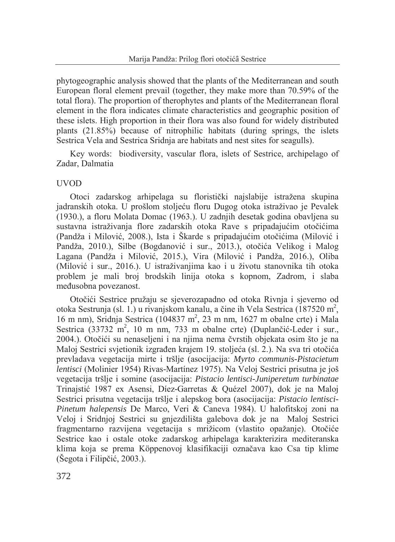phytogeographic analysis showed that the plants of the Mediterranean and south European floral element prevail (together, they make more than 70.59% of the total flora). The proportion of therophytes and plants of the Mediterranean floral element in the flora indicates climate characteristics and geographic position of these islets. High proportion in their flora was also found for widely distributed plants (21.85%) because of nitrophilic habitats (during springs, the islets Sestrica Vela and Sestrica Sridnia are habitats and nest sites for seagulls).

Key words: biodiversity, vascular flora, islets of Sestrice, archipelago of Zadar, Dalmatia

## **UVOD**

Otoci zadarskog arhipelaga su floristički najslabije istražena skupina jadranskih otoka. U prošlom stoljeću floru Dugog otoka istraživao je Pevalek (1930.). a floru Molata Domac (1963.). U zadnjih desetak godina obavljena su sustavna istraživanja flore zadarskih otoka Rave s pripadajućim otočićima (Pandža i Milović, 2008.), Ista i Škarde s pripadajućim otočićima (Milović i Pandža, 2010.), Silbe (Bogdanović i sur., 2013.), otočića Velikog i Malog Lagana (Pandža i Milović, 2015.), Vira (Milović i Pandža, 2016.), Oliba (Milović i sur., 2016.). U istraživanjima kao i u životu stanovnika tih otoka problem je mali broj brodskih linija otoka s kopnom, Zadrom, i slaba međusobna povezanost.

Otočići Sestrice pružaju se sjeverozapadno od otoka Rivnja i sjeverno od otoka Sestrunja (sl. 1.) u rivanjskom kanalu, a čine ih Vela Sestrica (187520 m<sup>2</sup>, 16 m nm), Sridnja Sestrica (104837 m<sup>2</sup>, 23 m nm, 1627 m obalne crte) i Mala Sestrica (33732 m<sup>2</sup>, 10 m nm, 733 m obalne crte) (Duplančić-Leder i sur., 2004.). Otočići su nenaseljeni i na njima nema čvrstih objekata osim što je na Maloi Sestrici svietionik izgrađen krajem 19. stoljeća (sl. 2.). Na sva tri otočića prevladava vegetacija mirte i tršlje (asocijacija: Myrto communis-Pistacietum lentisci (Molinier 1954) Rivas-Martínez 1975). Na Veloj Sestrici prisutna je još vegetacija tršlje i somine (asocijacija: Pistacio lentisci-Juniperetum turbinatae Trinaistić 1987 ex Asensi, Díez-Garretas & Quézel 2007), dok je na Maloj Sestrici prisutna vegetacija tršlje i alepskog bora (asocijacija: Pistacio lentisci-Pinetum halepensis De Marco, Veri & Caneva 1984). U halofitskoj zoni na Veloj i Sridnjoj Sestrici su gnjezdilišta galebova dok je na Maloj Sestrici fragmentarno razvijena vegetacija s mrižicom (vlastito opažanje). Otočiće Sestrice kao i ostale otoke zadarskog arhipelaga karakterizira mediteranska klima koja se prema Köppenovoj klasifikaciji označava kao Csa tip klime (Šegota i Filipčić, 2003.).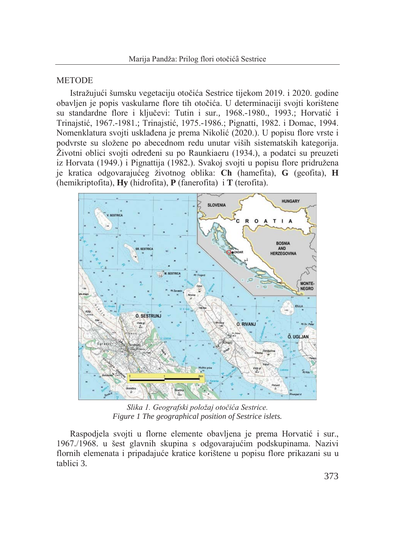#### **METODE**

Istražujući šumsku vegetaciju otočića Sestrice tijekom 2019. i 2020. godine obavljen je popis vaskularne flore tih otočića. U determinaciji svojti korištene su standardne flore i ključevi: Tutin i sur., 1968.-1980., 1993.; Horvatić i Trinaistić, 1967.-1981.; Trinaistić, 1975.-1986.; Pignatti, 1982. i Domac, 1994. Nomenklatura svojti usklađena je prema Nikolić (2020.). U popisu flore vrste i podvrste su složene po abecednom redu unutar viših sistematskih kategorija. Životni oblici svojti određeni su po Raunkiaeru (1934.), a podatci su preuzeti iz Horvata (1949.) i Pignattija (1982.). Svakoj svojti u popisu flore pridružena je kratica odgovarajućeg životnog oblika: Ch (hamefita), G (geofita), H (hemikriptofita),  $Hv$  (hidrofita),  $P$  (fanerofita) i  $T$  (terofita).



Slika 1. Geografski položaj otočića Sestrice. Figure 1 The geographical position of Sestrice islets.

Raspodjela svojti u florne elemente obavljena je prema Horvatić i sur., 1967./1968. u šest glavnih skupina s odgovarajućim podskupinama. Nazivi flornih elemenata i pripadajuće kratice korištene u popisu flore prikazani su u tablici 3.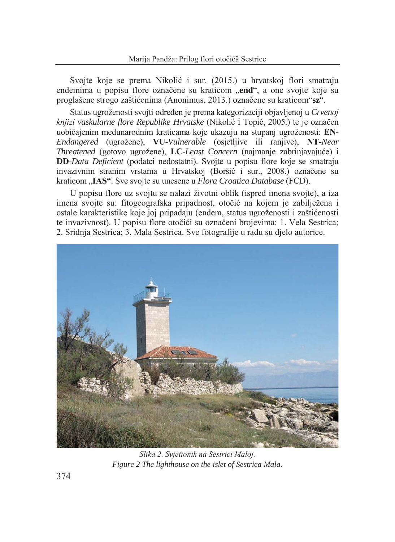Svojte koje se prema Nikolić i sur. (2015.) u hrvatskoj flori smatraju endemima u popisu flore označene su kraticom "end", a one svojte koje su proglašene strogo zaštićenima (Anonimus, 2013.) označene su kraticom"sz".

Status ugroženosti svojti određen je prema kategorizaciji objavljenoj u Crvenoj knjizi vaskularne flore Republike Hrvatske (Nikolić i Topić, 2005.) te je označen uobičajenim međunarodnim kraticama koje ukazuju na stupanj ugroženosti: EN-Endangered (ugrožene), VU-Vulnerable (osjetljive ili ranjive), NT-Near Threatened (gotovo ugrožene), LC-Least Concern (najmanje zabrinjavajuće) i **DD**-Data Deficient (podatci nedostatni). Svojte u popisu flore koje se smatraju invazivnim stranim vrstama u Hrvatskoj (Boršić i sur., 2008.) označene su kraticom "IAS". Sve svojte su unesene u *Flora Croatica Database* (FCD).

U popisu flore uz svojtu se nalazi životni oblik (ispred imena svojte), a iza imena svojte su: fitogeografska pripadnost, otočić na kojem je zabilježena i ostale karakteristike koje joj pripadaju (endem, status ugroženosti i zaštićenosti te invazivnost). U popisu flore otočići su označeni brojevima: 1. Vela Sestrica; 2. Sridnja Sestrica; 3. Mala Sestrica. Sve fotografije u radu su djelo autorice.



Slika 2. Svietionik na Sestrici Maloj. Figure 2 The lighthouse on the islet of Sestrica Mala.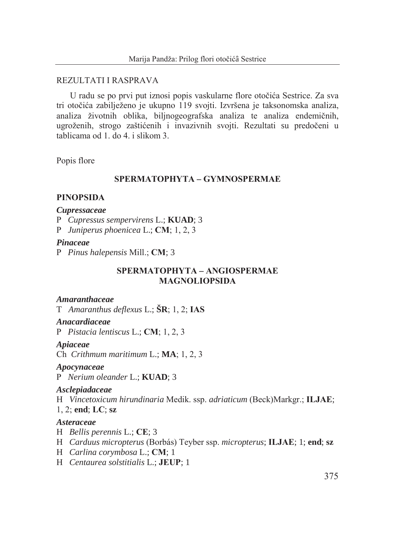### REZULTATI I RASPRAVA

U radu se po prvi put iznosi popis vaskularne flore otočića Sestrice. Za sva tri otočića zabilježeno je ukupno 119 svojti. Izvršena je taksonomska analiza, analiza životnih oblika, biljnogeografska analiza te analiza endemičnih, ugroženih, strogo zaštićenih i invazivnih svojti. Rezultati su predočeni u  $tabilcama$  od 1 do 4 i slikom 3

Popis flore

## SPERMATOPHYTA - GYMNOSPERMAE

### **PINOPSIDA**

#### **Cupressaceae**

P Cupressus sempervirens L.; KUAD; 3

P Juniperus phoenicea L.; CM; 1, 2, 3

#### **Pinaceae**

P Pinus halepensis Mill.;  $CM$ ; 3

## SPERMATOPHYTA - ANGIOSPERMAE **MAGNOLIOPSIDA**

### **Amaranthaceae**

T Amaranthus deflexus L.;  $\text{\r{S}R}$ ; 1, 2; IAS

### Anacardiaceae

P Pistacia lentiscus L.;  $CM$ ; 1, 2, 3

#### Apiaceae

Ch Crithmum maritimum L.; MA; 1, 2, 3

#### Apocynaceae

P Nerium oleander L.; KUAD; 3

### Asclepiadaceae

H Vincetoxicum hirundinaria Medik. ssp. adriaticum (Beck)Markgr.; ILJAE;

 $1, 2$ : end: LC: sz

#### Asteraceae

- $H$  Bellis perennis L.; CE; 3
- H Carduus micropterus (Borbás) Teyber ssp. micropterus; ILJAE; 1; end; sz
- H Carlina corymbosa L.; CM; 1
- H Centaurea solstitialis L.; JEUP; 1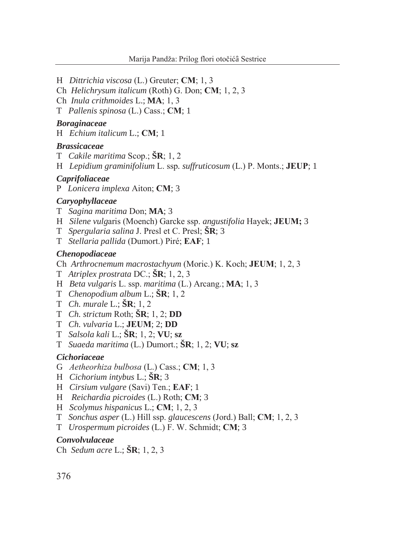H Dittrichia viscosa (L.) Greuter; CM; 1, 3

- Ch Helichrysum italicum (Roth) G. Don; CM; 1, 2, 3
- Ch Inula crithmoides L.; MA; 1, 3
- T Pallenis spinosa (L.) Cass.; CM; 1

### **Boraginaceae**

 $H$  Echium italicum L.; CM; 1

### **Brassicaceae**

- T Cakile maritima Scop.;  $\text{SR}$ ; 1, 2
- H Lepidium graminifolium L. ssp. suffruticosum (L.) P. Monts.; JEUP; 1

#### **Caprifoliaceae**

P Lonicera implexa Aiton; CM; 3

## **Carvophyllaceae**

- T Sagina maritima Don; MA; 3
- H Silene vulgaris (Moench) Garcke ssp. angustifolia Hayek; JEUM; 3
- T Spergularia salina J. Presl et C. Presl;  $\text{S}R$ ; 3
- T Stellaria pallida (Dumort.) Piré; EAF; 1

### **Chenopodiaceae**

Ch Arthrocnemum macrostachyum (Moric.) K. Koch; JEUM; 1, 2, 3

- T Atriplex prostrata DC.;  $\text{\r{S}R}$ ; 1, 2, 3
- H Beta vulgaris L. ssp. maritima (L.) Arcang.; MA; 1, 3
- T Chenopodium album L.;  $\text{SR}; 1, 2$
- T Ch. murale L.;  $\text{SR}; 1, 2$
- T *Ch. strictum* Roth;  $\tilde{S}R$ ; 1, 2; **DD**
- T Ch. vulvaria L.; JEUM; 2; DD
- T Salsola kali L.;  $\text{SR}; 1, 2; \text{VU};$  sz
- T Suaeda maritima (L.) Dumort.;  $\text{SR}$ ; 1, 2; VU; sz

### **Cichoriaceae**

- G Aetheorhiza bulbosa (L.) Cass.; CM; 1, 3
- H Cichorium intybus L.;  $\text{SR}$ ; 3
- H Cirsium vulgare (Savi) Ten.; EAF; 1
- H Reichardia picroides (L.) Roth; CM; 3
- H Scolymus hispanicus L.; CM; 1, 2, 3
- T Sonchus asper (L.) Hill ssp. glaucescens (Jord.) Ball; CM; 1, 2, 3
- T Urospermum picroides (L.) F. W. Schmidt; CM; 3

### Convolvulaceae

Ch Sedum acre L.;  $\text{SR}; 1, 2, 3$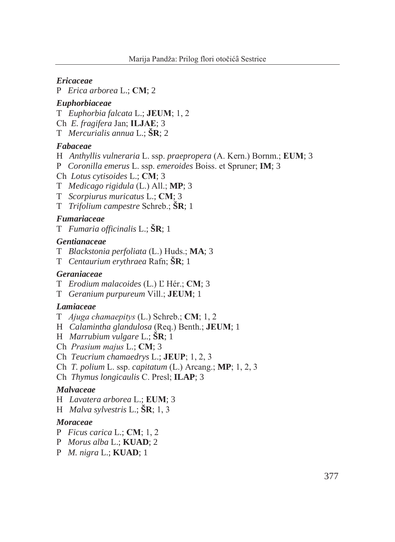#### **Ericaceae**

P Erica arborea L.; CM; 2

#### **Euphorbiaceae**

T Euphorbia falcata L.: **JEUM**: 1, 2

Ch E. fragifera Jan: ILJAE: 3

 $T$  Mercurialis annua L.:  $\text{SR}: 2$ 

## **Fabaceae**

- H Anthyllis vulneraria L. ssp. praepropera (A. Kern.) Bornm.; EUM; 3
- P Coronilla emerus L. ssp. emeroides Boiss. et Spruner; IM; 3
- Ch Lotus cytisoides L.; CM; 3
- $T$  *Medicago rigidula* (L.) All.; **MP**; 3
- T Scorpiurus muricatus L.; CM; 3
- T *Trifolium campestre* Schreb.; **SR**; 1

#### **Fumariaceae**

T Fumaria officinalis L.;  $\text{\r{S}R}$ ; 1

## **Gentianaceae**

- T Blackstonia perfoliata (L.) Huds.; MA; 3
- T Centaurium erythraea Rafn;  $\text{SR}; 1$

#### Geraniaceae

- T Erodium malacoides (L.) L'Hér.; CM; 3
- T Geranium purpureum Vill.; **JEUM**; 1

## Lamiaceae

- T Ajuga chamaepitys (L.) Schreb.; CM; 1, 2
- H Calamintha glandulosa (Req.) Benth.; JEUM; 1
- H Marrubium vulgare L.;  $\dot{S}R$ ; 1
- Ch Prasium majus L.; CM; 3
- Ch Teucrium chamaedrys L.; JEUP; 1, 2, 3
- Ch *T. polium* L. ssp. *capitatum* (L.) Arcang.; **MP**; 1, 2, 3
- Ch Thymus longicaulis C. Presl; ILAP; 3

### **Malvaceae**

- H Lavatera arborea L.; EUM; 3
- H *Malva sylvestris* L.;  $\text{\r{S}R}$ ; 1, 3

#### **Moraceae**

- P Ficus carica L.; CM; 1, 2
- P Morus alba L.; KUAD; 2
- P  $M. nigra L.; KUAD; 1$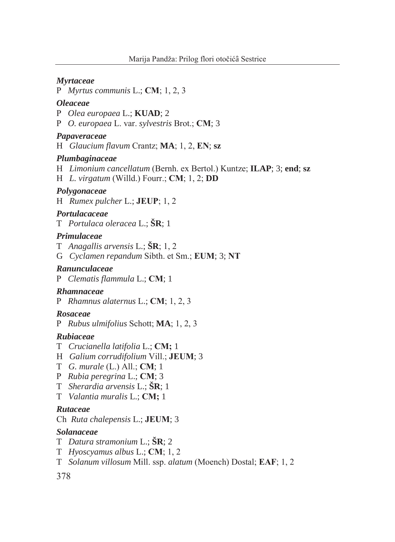### **Myrtaceae**

P Myrtus communis L.; CM; 1, 2, 3

#### *Oleaceae*

- P Olea europaea L.: KUAD: 2
- P O. europaea L. var. sylvestris Brot.; CM; 3

## Papaveraceae

H Glaucium flavum Crantz; MA; 1, 2, EN; sz

### Plumbaginaceae

- H Limonium cancellatum (Bernh. ex Bertol.) Kuntze; ILAP; 3; end; sz
- H L. virgatum (Willd.) Fourr.;  $CM$ ; 1, 2;  $DD$

### Polygonaceae

H Rumex pulcher L.; JEUP;  $1, 2$ 

# Portulacaceae

 $T$  Portulaca oleracea L.:  $\text{\r{S}R:1}$ 

## **Primulaceae**

- T Anagallis arvensis L.;  $\text{\r{S}R}$ ; 1, 2
- G Cyclamen repandum Sibth. et Sm.; EUM; 3; NT

#### Ranunculaceae

P Clematis flammula L.; CM; 1

## Rhamnaceae

P Rhamnus alaternus L.; CM;  $1, 2, 3$ 

## **Rosaceae**

P Rubus ulmifolius Schott; MA; 1, 2, 3

## **Rubiaceae**

- T Crucianella latifolia L.; CM; 1
- H Galium corrudifolium Vill.; JEUM; 3
- $T$  G. murale (L.) All.; CM; 1
- P Rubia peregrina L.; CM; 3
- T Sherardia arvensis L.;  $\tilde{S}R$ ; 1
- T Valantia muralis L.; CM; 1

## **Rutaceae**

Ch Ruta chalepensis L.; JEUM; 3

## **Solanaceae**

- T Datura stramonium L.;  $\text{SR}; 2$
- $T$  Hyoscyamus albus L.; CM; 1, 2
- T Solanum villosum Mill. ssp. alatum (Moench) Dostal; EAF; 1, 2

## 378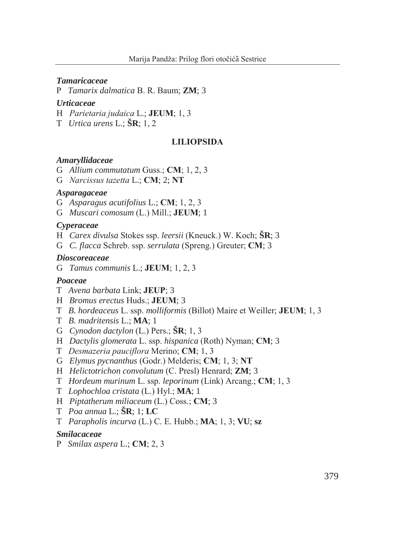#### **Tamaricaceae**

P Tamarix dalmatica B. R. Baum; ZM; 3

#### **Urticaceae**

- H Parietaria judaica L.; JEUM; 1, 3
- $T$  Urtica urens L.:  $\text{\r{S}R:} 1, 2$

### **LILIOPSIDA**

#### **Amaryllidaceae**

- G Allium commutatum Guss.; CM; 1, 2, 3
- G Narcissus tazetta L.: CM: 2: NT

### **Asparagaceae**

- G Asparagus acutifolius L.; CM; 1, 2, 3
- G Muscari comosum (L.) Mill.; JEUM; 1

#### *Cyperaceae*

- H *Carex divulsa* Stokes ssp. *leersii* (Kneuck.) W. Koch; **SR**; 3
- G C. flacca Schreb. ssp. serrulata (Spreng.) Greuter; CM; 3

### **Dioscoreaceae**

G Tamus communis L.; **JEUM**; 1, 2, 3

# Poaceae

- T Avena barbata Link: **JEUP**: 3
- H *Bromus erectus* Huds.; **JEUM**; 3
- T B. hordeaceus L. ssp. molliformis (Billot) Maire et Weiller; **JEUM**; 1, 3
- T B. madritensis L.; MA; 1
- G Cynodon dactylon (L.) Pers.;  $\text{SR}$ ; 1, 3
- H Dactylis glomerata L. ssp. hispanica (Roth) Nyman; CM; 3
- T Desmazeria pauciflora Merino: CM: 1, 3
- G Elymus pycnanthus (Godr.) Melderis; CM; 1, 3; NT
- H Helictotrichon convolutum (C. Presl) Henrard; ZM; 3
- T Hordeum murinum L. ssp. leporinum (Link) Arcang.; CM; 1, 3
- T Lophochloa cristata (L.) Hyl.; MA; 1
- H Piptatherum miliaceum (L.) Coss.;  $CM$ ; 3
- $T$  *Poa annua* L.;  $\text{S}R$ ; 1; LC
- T Parapholis incurva (L.) C. E. Hubb.; MA; 1, 3; VU; sz

## **Smilacaceae**

P Smilax aspera L.;  $CM$ ; 2, 3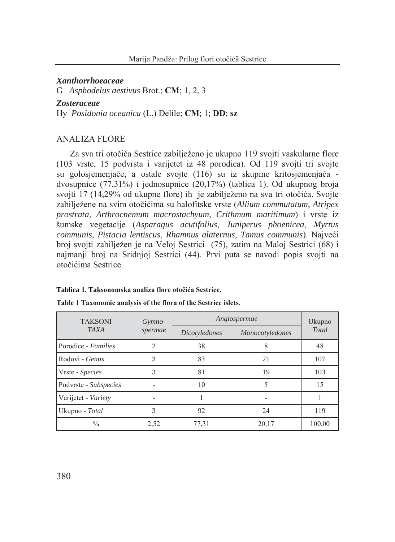### **Xanthorrhoeaceae**

G Asphodelus aestivus Brot.; CM; 1, 2, 3

#### **Zosteraceae**

Hy Posidonia oceanica (L.) Delile; CM; 1; DD; sz

## **ANALIZA FLORE**

Za sva tri otočića Sestrice zabilježeno je ukupno 119 svojti vaskularne flore (103 vrste, 15 podvrsta i varijetet iz 48 porodica). Od 119 svojti tri svojte su golosjemenjače, a ostale svojte (116) su iz skupine kritosjemenjača dvosupnice  $(77.31\%)$  i jednosupnice  $(20.17\%)$  (tablica 1). Od ukupnog broja svojti 17 (14,29% od ukupne flore) ih je zabilježeno na sva tri otočića. Svojte zabilježene na svim otočićima su halofitske vrste (Allium commutatum, Atripex prostrata, Arthrocnemum macrostachyum, Crithmum maritimum) i vrste iz šumske vegetacije (Asparagus acutifolius, Juniperus phoenicea, Myrtus communis, Pistacia lentiscus, Rhamnus alaternus, Tamus communis). Najveći broj svojti zabilježen je na Veloj Sestrici (75), zatim na Maloj Sestrici (68) i najmanji broj na Sridnjoj Sestrici (44). Prvi puta se navodi popis svojti na otočićima Sestrice.

| <b>TAKSONI</b>        | Gymno-         | Angiospermae  | Ukupno          |        |  |
|-----------------------|----------------|---------------|-----------------|--------|--|
| <b>TAXA</b>           | spermae        | Dicotyledones | Monocotyledones | Total  |  |
| Porodice - Families   | $\overline{2}$ | 38            | 8               | 48     |  |
| Rodovi - Genus        | 3              | 83            | 21              | 107    |  |
| Vrste - Species       | 3              | 81            | 19              | 103    |  |
| Podvrste - Subspecies |                | 10            | 5               | 15     |  |
| Varijetet - Variety   |                |               |                 |        |  |
| Ukupno - Total        | 3              | 92            | 24              | 119    |  |
| $\frac{0}{0}$         | 2,52           | 77,31         | 20,17           | 100,00 |  |

#### Tablica 1. Taksonomska analiza flore otočića Sestrice.

Table 1 Taxonomic analysis of the flora of the Sestrice islets.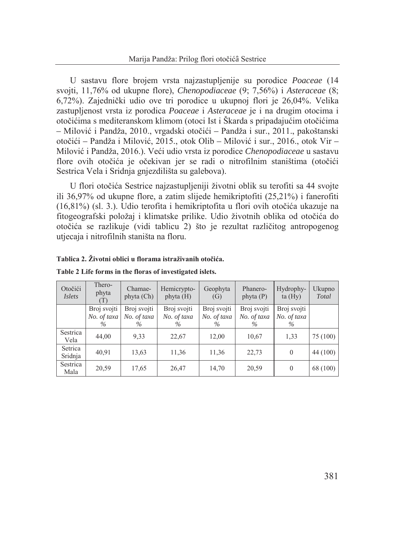U sastavu flore brojem vrsta najzastupljenije su porodice Poaceae (14 svojti, 11,76% od ukupne flore), *Chenopodiaceae*  $(9, 7, 56%)$  i *Asteraceae*  $(8, 7, 56%)$ 6,72%). Zajednički udio ove tri porodice u ukupnoj flori je 26,04%. Velika zastupljenost vrsta iz porodica *Poaceae* i Asteraceae je i na drugim otocima i otočićima s mediteranskom klimom (otoci Ist i Škarda s pripadajućim otočićima – Milović i Pandža, 2010., vrgadski otočići – Pandža i sur., 2011., pakoštanski otočići – Pandža i Milović, 2015., otok Olib – Milović i sur., 2016., otok Vir – Milović i Pandža, 2016.). Veći udio vrsta iz porodice Chenopodiaceae u sastavu flore ovih otočića je očekivan jer se radi o nitrofilnim staništima (otočići Sestrica Vela i Sridnja gnjezdilišta su galebova).

U flori otočića Sestrice najzastupljeniji životni oblik su terofiti sa 44 svojte ili 36,97% od ukupne flore, a zatim slijede hemikriptofiti  $(25,21\%)$  i fanerofiti (16,81%) (sl. 3). Udio terofita i hemikriptofita u flori ovih otočića ukazuje na fitogeografski položaj i klimatske prilike. Udio životnih oblika od otočića do otočića se razlikuje (vidi tablicu 2) što je rezultat različitog antropogenog utiecaja i nitrofilnih staništa na floru.

| Otočići<br><i>Islets</i> | Thero-<br>phyta<br>T)              | Chamae-<br>phyta (Ch)              | Hemicrypto-<br>phyta $(H)$      | Geophyta<br>(G)                    | Phanero-<br>phyta $(P)$            | Hydrophy-<br>ta(Hy)                | Ukupno<br>Total |
|--------------------------|------------------------------------|------------------------------------|---------------------------------|------------------------------------|------------------------------------|------------------------------------|-----------------|
|                          | Broj svojti<br>No. of taxa<br>$\%$ | Broj svojti<br>No. of taxa<br>$\%$ | Broj svojti<br>No. of taxa<br>% | Broj svojti<br>No. of taxa<br>$\%$ | Broj svojti<br>No. of taxa<br>$\%$ | Broj svojti<br>No. of taxa<br>$\%$ |                 |
| Sestrica<br>Vela         | 44,00                              | 9.33                               | 22,67                           | 12,00                              | 10,67                              | 1,33                               | 75(100)         |
| Setrica<br>Sridnja       | 40,91                              | 13,63                              | 11,36                           | 11,36                              | 22,73                              | $\theta$                           | 44(100)         |
| Sestrica<br>Mala         | 20,59                              | 17,65                              | 26,47                           | 14,70                              | 20,59                              | $\theta$                           | 68 (100)        |

Tablica 2. Životni oblici u florama istraživanih otočića.

|  |  |  | Table 2 Life forms in the floras of investigated islets. |  |
|--|--|--|----------------------------------------------------------|--|
|--|--|--|----------------------------------------------------------|--|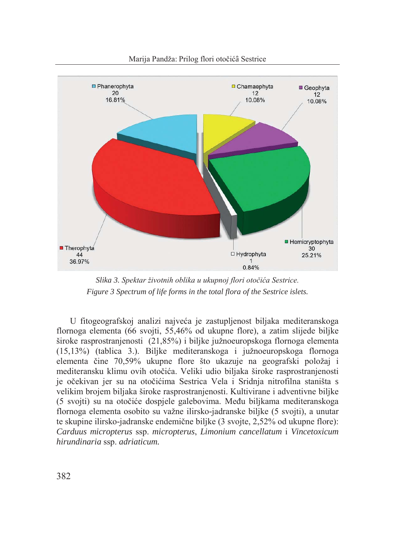

Slika 3. Spektar životnih oblika u ukupnoj flori otočića Sestrice. Figure 3 Spectrum of life forms in the total flora of the Sestrice islets.

U fitogeografskoj analizi najveća je zastupljenost biljaka mediteranskoga flornoga elementa (66 svojti, 55,46% od ukupne flore), a zatim slijede biljke široke rasprostranjenosti (21,85%) i biljke južnoeuropskoga flornoga elementa (15,13%) (tablica 3.). Biljke mediteranskoga i južnoeuropskoga flornoga elementa čine 70,59% ukupne flore što ukazuje na geografski položaj i mediteransku klimu ovih otočića. Veliki udio biljaka široke rasprostranjenosti je očekivan jer su na otočićima Sestrica Vela i Sridnja nitrofilna staništa s velikim brojem biljaka široke rasprostranjenosti. Kultivirane i adventivne biljke (5 svojti) su na otočiće dospjele galebovima. Među biljkama mediteranskoga flornoga elementa osobito su važne ilirsko-jadranske biljke (5 svojti), a unutar te skupine ilirsko-jadranske endemične biljke (3 svojte, 2,52% od ukupne flore): Carduus micropterus ssp. micropterus, Limonium cancellatum i Vincetoxicum hirundinaria ssp. adriaticum.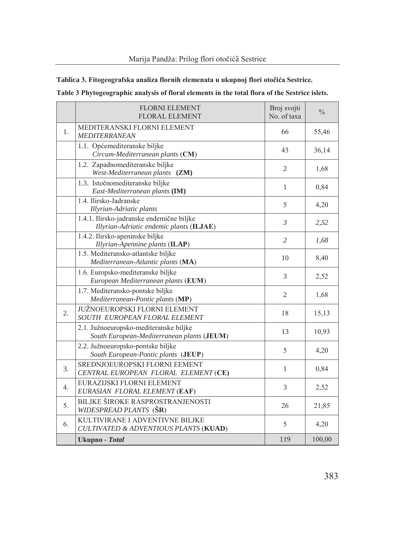# Tablica 3. Fitogeografska analiza flornih elemenata u ukupnoj flori otočića Sestrice.

|    | <b>FLORNI ELEMENT</b><br>FLORAL ELEMENT                                               | Broj svojti<br>No. of taxa | $\frac{0}{0}$ |
|----|---------------------------------------------------------------------------------------|----------------------------|---------------|
| 1. | MEDITERANSKI FLORNI ELEMENT<br><b>MEDITERRANEAN</b>                                   | 66                         | 55,46         |
|    | 1.1. Općemediteranske biljke<br>Circum-Mediterranean plants (CM)                      | 43                         | 36,14         |
|    | 1.2. Zapadnomediteranske biljke<br>West-Mediterranean plants (ZM)                     | $\mathfrak{2}$             | 1,68          |
|    | 1.3. Istočnomediteranske biljke<br>East-Mediterranean plants (IM)                     | $\mathbf{1}$               | 0,84          |
|    | 1.4. Ilirsko-Jadranske<br>Illyrian-Adriatic plants                                    | 5                          | 4,20          |
|    | 1.4.1. Ilirsko-jadranske endemične biljke<br>Illyrian-Adriatic endemic plants (ILJAE) | $\mathfrak{Z}$             | 2,52          |
|    | 1.4.2. Ilirsko-apeninske biljke<br>Illyrian-Apennine plants (ILAP)                    | $\overline{2}$             | 1,68          |
|    | 1.5. Mediteransko-atlantske biljke<br>Mediterranean-Atlantic plants (MA)              | 10                         | 8,40          |
|    | 1.6. Europsko-mediteranske biljke<br>European Mediterranean plants (EUM)              | 3                          | 2,52          |
|    | 1.7. Mediteransko-pontske biljke<br>Mediterranean-Pontic plants (MP)                  | $\overline{2}$             | 1,68          |
| 2. | JUŽNOEUROPSKI FLORNI ELEMENT<br>SOUTH EUROPEAN FLORAL ELEMENT                         | 18                         | 15,13         |
|    | 2.1. Južnoeuropsko-mediteranske biljke<br>South European-Mediterranean plants (JEUM)  | 13                         | 10,93         |
|    | 2.2. Južnoeuropsko-pontske biljke<br>South European-Pontic plants (JEUP)              | 5                          | 4,20          |
| 3. | SREDNJOEUROPSKI FLORNI EEMENT<br>CENTRAL EUROPEAN FLORAL ELEMENT (CE)                 | 1                          | 0,84          |
| 4. | EURAZIJSKI FLORNI ELEMENT<br>EURASIAN FLORAL ELEMENT (EAF)                            | 3                          | 2,52          |
| 5. | BILJKE ŠIROKE RASPROSTRANJENOSTI<br>WIDESPREAD PLANTS (SR)                            | 26                         | 21,85         |
| 6. | KULTIVIRANE I ADVENTIVNE BILJKE<br>CULTIVATED & ADVENTIOUS PLANTS (KUAD)              | 5                          | 4,20          |
|    | Ukupno - Total                                                                        | 119                        | 100,00        |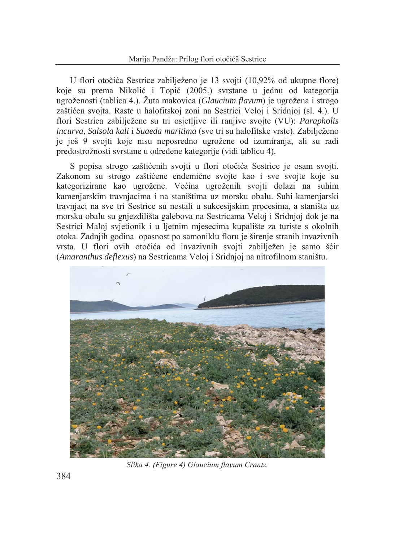U flori otočića Sestrice zabilježeno je 13 svojti (10,92% od ukupne flore) koje su prema Nikolić i Topić (2005.) svrstane u jednu od kategorija ugroženosti (tablica 4.). Žuta makovica (Glaucium flavum) je ugrožena i strogo zaštićen svojta. Raste u halofitskoj zoni na Sestrici Veloj i Sridnjoj (sl. 4.). U flori Sestrica zabiliežene su tri osietlijve ili ranijve svojte (VU): *Parapholis* incurva, Salsola kali i Suaeda maritima (sve tri su halofitske vrste). Zabilježeno je još 9 svojti koje nisu neposredno ugrožene od izumiranja, ali su radi predostrožnosti svrstane u određene kategorije (vidi tablicu 4).

S popisa strogo zaštićenih svojti u flori otočića Sestrice je osam svojti. Zakonom su strogo zaštićene endemične svojte kao i sve svojte koje su kategorizirane kao ugrožene. Većina ugroženih svojti dolazi na suhim kamenjarskim travnjacima i na staništima uz morsku obalu. Suhi kamenjarski travnjaci na sve tri Sestrice su nestali u sukcesijskim procesima, a staništa uz morsku obalu su gnjezdilišta galebova na Sestricama Veloj i Sridnjoj dok je na Sestrici Maloj svjetionik i u ljetnim mjesecima kupalište za turiste s okolnih otoka. Zadnjih godina opasnost po samoniklu floru je širenje stranih invazivnih vrsta. U flori ovih otočića od invazivnih svojti zabilježen je samo šćir (Amaranthus deflexus) na Sestricama Veloj i Sridnjoj na nitrofilnom staništu.



Slika 4. (Figure 4) Glaucium flavum Crantz.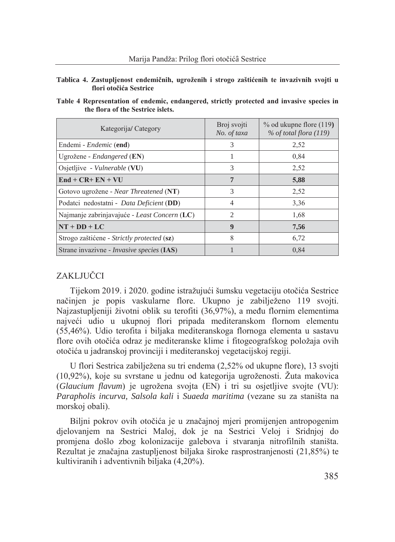#### Tablica 4. Zastupljenost endemičnih, ugroženih i strogo zaštićenih te invazivnih svojti u flori otočića Sestrice

| Table 4 Representation of endemic, endangered, strictly protected and invasive species in |  |  |  |  |
|-------------------------------------------------------------------------------------------|--|--|--|--|
| the flora of the Sestrice islets.                                                         |  |  |  |  |

| Kategorija/Category                              | Broj svojti<br>No. of taxa | % od ukupne flore (119)<br>$%$ of total flora (119) |
|--------------------------------------------------|----------------------------|-----------------------------------------------------|
| Endemi - <i>Endemic</i> (end)                    | 3                          | 2,52                                                |
| Ugrožene - Endangered (EN)                       |                            | 0.84                                                |
| Osjetljive - Vulnerable (VU)                     | 3                          | 2,52                                                |
| $End + CR + EN + VU$                             | 7                          | 5,88                                                |
| Gotovo ugrožene - <i>Near Threatened</i> (NT)    | 3                          | 2,52                                                |
| Podatci nedostatni - Data Deficient (DD)         | $\overline{4}$             | 3,36                                                |
| Najmanje zabrinjavajuće - Least Concern (LC)     | $\overline{c}$             | 1,68                                                |
| $NT + DD + LC$                                   | $\boldsymbol{9}$           | 7,56                                                |
| Strogo zaštićene - Strictly protected (sz)       | 8                          | 6,72                                                |
| Strane invazivne - <i>Invasive species</i> (IAS) |                            | 0.84                                                |

# ZAKLJUČCI

Tijekom 2019. i 2020. godine istražujući šumsku vegetaciju otočića Sestrice načinien je popis vaskularne flore. Ukupno je zabilježeno 119 svojti. Najzastupljeniji životni oblik su terofiti (36,97%), a među flornim elementima najveći udio u ukupnoj flori pripada mediteranskom flornom elementu (55,46%). Udio terofita i biljaka mediteranskoga flornoga elementa u sastavu flore ovih otočića odraz je mediteranske klime i fitogeografskog položaja ovih otočića u jadranskoj provinciji i mediteranskoj vegetacijskoj regiji.

U flori Sestrica zabilježena su tri endema (2,52% od ukupne flore), 13 svojti (10,92%), koje su svrstane u jednu od kategorija ugroženosti. Žuta makovica (Glaucium flavum) je ugrožena svojta (EN) i tri su osjetljive svojte (VU): Parapholis incurva, Salsola kali i Suaeda maritima (vezane su za staništa na morskoj obali).

Biljni pokrov ovih otočića je u značajnoj mjeri promijenjen antropogenim dielovaniem na Sestrici Maloj, dok je na Sestrici Veloj i Sridnjoj do promjena došlo zbog kolonizacije galebova i stvaranja nitrofilnih staništa. Rezultat je značajna zastupljenost biljaka široke rasprostranjenosti (21,85%) te kultiviranih i adventivnih biljaka (4,20%).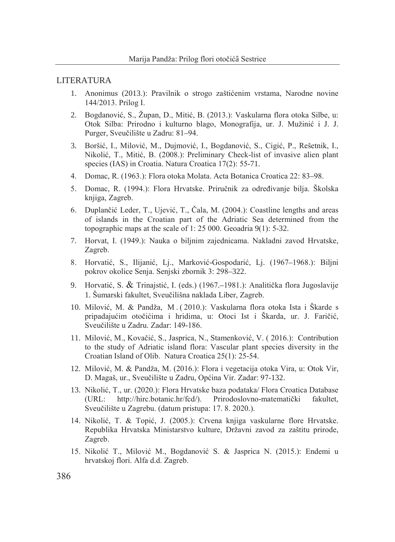#### **LITERATURA**

- 1. Anonimus (2013.): Pravilnik o strogo zaštićenim vrstama, Narodne novine 144/2013. Prilog I.
- 2. Bogdanović, S., Župan, D., Mitić, B. (2013.): Vaskularna flora otoka Silbe, u: Otok Silba: Prirodno i kulturno blago, Monografija, ur. J. Mužinić i J. J. Purger, Sveučilište u Zadru: 81-94.
- 3. Boršić, I., Milović, M., Duimović, I., Bogdanović, S., Cigić, P., Rešetnik, I., Nikolić, T., Mitić, B. (2008.): Preliminary Check-list of invasive alien plant species (IAS) in Croatia. Natura Croatica 17(2): 55-71.
- 4. Domac, R. (1963.): Flora otoka Molata. Acta Botanica Croatica 22: 83–98.
- 5. Domac, R. (1994.): Flora Hrvatske, Priručnik za određivanje bilja. Školska knjiga, Zagreb.
- 6. Duplančić Leder, T., Ujević, T., Čala, M. (2004.): Coastline lengths and areas of islands in the Croatian part of the Adriatic Sea determined from the topographic maps at the scale of 1:25 000. Geoadria  $9(1)$ : 5-32.
- 7. Horvat, I. (1949.): Nauka o biljnim zajednicama. Nakladni zavod Hrvatske, Zagreb.
- 8. Horvatić, S., Ilijanić, Lj., Marković-Gospodarić, Lj. (1967–1968.): Biljni pokrov okolice Senja. Senjski zbornik 3: 298–322.
- 9. Horvatić, S. & Trinajstić, I. (eds.) (1967.–1981.): Analitička flora Jugoslavije 1. Šumarski fakultet, Sveučilišna naklada Liber, Zagreb.
- 10. Milović, M. & Pandža, M. (2010.): Vaskularna flora otoka Ista i Škarde s pripadajućim otočićima i hridima, u: Otoci Ist i Škarda, ur. J. Faričić, Sveučilište u Zadru. Zadar: 149-186.
- 11. Milović, M., Kovačić, S., Jasprica, N., Stamenković, V. (2016.): Contribution to the study of Adriatic island flora: Vascular plant species diversity in the Croatian Island of Olib. Natura Croatica 25(1): 25-54.
- 12. Milović, M. & Pandža, M. (2016.): Flora i vegetacija otoka Vira, u: Otok Vir, D. Magaš, ur., Sveučilište u Zadru, Općina Vir. Zadar: 97-132.
- 13. Nikolić, T., ur. (2020.): Flora Hrvatske baza podataka/ Flora Croatica Database  $(URL:$ http://hirc.botanic.hr/fcd/). Prirodoslovno-matematički fakultet, Sveučilište u Zagrebu. (datum pristupa: 17. 8. 2020.).
- 14. Nikolić, T. & Topić, J. (2005.): Crvena knjiga vaskularne flore Hrvatske. Republika Hrvatska Ministarstvo kulture, Državni zavod za zaštitu prirode, Zagreb.
- 15. Nikolić T., Milović M., Bogdanović S. & Jasprica N. (2015.): Endemi u hrvatskoj flori. Alfa d.d. Zagreb.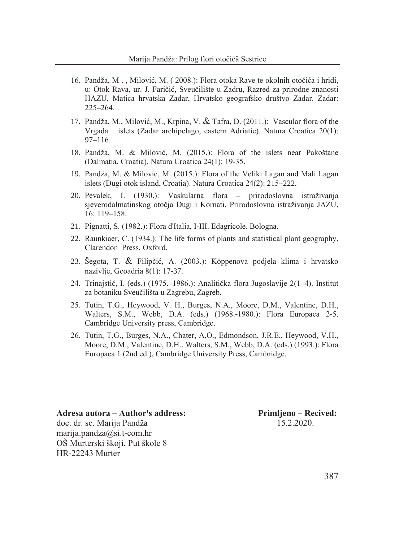- 16. Pandža, M., Milović, M. (2008.): Flora otoka Rave te okolnih otočića i hridi, u: Otok Rava, ur. J. Faričić, Sveučilište u Zadru, Razred za prirodne znanosti HAZU, Matica hrvatska Zadar, Hrvatsko geografsko društvo Zadar. Zadar:  $225 - 264$ .
- 17. Pandža, M., Milović, M., Krpina, V.  $\&$  Tafra, D. (2011.): Vascular flora of the Vrgada islets (Zadar archipelago, eastern Adriatic). Natura Croatica 20(1):  $97 - 116$ .
- 18. Pandža, M. & Milović, M. (2015.): Flora of the islets near Pakoštane (Dalmatia, Croatia). Natura Croatica 24(1): 19-35.
- 19. Pandža, M. & Milović, M. (2015.): Flora of the Veliki Lagan and Mali Lagan islets (Dugi otok island, Croatia). Natura Croatica 24(2): 215–222.
- 20. Pevalek, I. (1930.): Vaskularna flora prirodoslovna istraživanja sjeverodalmatinskog otočia Dugi i Kornati, Prirodoslovna istraživanja JAZU,  $16:119-158.$
- 21. Pignatti, S. (1982.): Flora d'Italia, I-III. Edagricole. Bologna.
- 22. Raunkiaer, C. (1934.): The life forms of plants and statistical plant geography, Clarendon Press. Oxford.
- 23. Šegota, T. & Filipčić, A. (2003.): Köppenova podjela klima i hrvatsko nazivlje, Geoadria 8(1): 17-37.
- 24. Trinajstić, I. (eds.) (1975.–1986.): Analitička flora Jugoslavije 2(1–4). Institut za botaniku Sveučilišta u Zagrebu, Zagreb.
- 25. Tutin, T.G., Heywood, V. H., Burges, N.A., Moore, D.M., Valentine, D.H., Walters, S.M., Webb, D.A. (eds.) (1968.-1980.): Flora Europaea 2-5. Cambridge University press, Cambridge.
- 26. Tutin, T.G., Burges, N.A., Chater, A.O., Edmondson, J.R.E., Heywood, V.H., Moore, D.M., Valentine, D.H., Walters, S.M., Webb, D.A. (eds.) (1993.): Flora Europaea 1 (2nd ed.), Cambridge University Press, Cambridge.

Adresa autora – Author's address: doc. dr. sc. Marija Pandža marija.pandza@si.t-com.hr OŠ Murterski škoji, Put škole 8 HR-22243 Murter

Primljeno – Recived: 15 2 2020